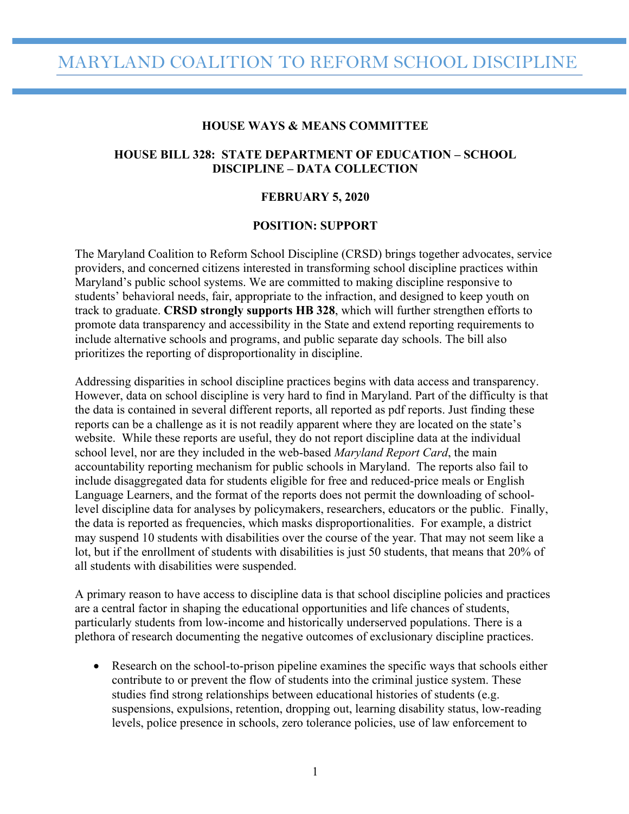# MARYLAND COALITION TO REFORM SCHOOL DISCIPLINE

#### **HOUSE WAYS & MEANS COMMITTEE**

# **HOUSE BILL 328: STATE DEPARTMENT OF EDUCATION – SCHOOL DISCIPLINE – DATA COLLECTION**

#### **FEBRUARY 5, 2020**

#### **POSITION: SUPPORT**

The Maryland Coalition to Reform School Discipline (CRSD) brings together advocates, service providers, and concerned citizens interested in transforming school discipline practices within Maryland's public school systems. We are committed to making discipline responsive to students' behavioral needs, fair, appropriate to the infraction, and designed to keep youth on track to graduate. **CRSD strongly supports HB 328**, which will further strengthen efforts to promote data transparency and accessibility in the State and extend reporting requirements to include alternative schools and programs, and public separate day schools. The bill also prioritizes the reporting of disproportionality in discipline.

Addressing disparities in school discipline practices begins with data access and transparency. However, data on school discipline is very hard to find in Maryland. Part of the difficulty is that the data is contained in several different reports, all reported as pdf reports. Just finding these reports can be a challenge as it is not readily apparent where they are located on the state's website. While these reports are useful, they do not report discipline data at the individual school level, nor are they included in the web-based *Maryland Report Card*, the main accountability reporting mechanism for public schools in Maryland. The reports also fail to include disaggregated data for students eligible for free and reduced-price meals or English Language Learners, and the format of the reports does not permit the downloading of schoollevel discipline data for analyses by policymakers, researchers, educators or the public. Finally, the data is reported as frequencies, which masks disproportionalities. For example, a district may suspend 10 students with disabilities over the course of the year. That may not seem like a lot, but if the enrollment of students with disabilities is just 50 students, that means that 20% of all students with disabilities were suspended.

A primary reason to have access to discipline data is that school discipline policies and practices are a central factor in shaping the educational opportunities and life chances of students, particularly students from low-income and historically underserved populations. There is a plethora of research documenting the negative outcomes of exclusionary discipline practices.

• Research on the school-to-prison pipeline examines the specific ways that schools either contribute to or prevent the flow of students into the criminal justice system. These studies find strong relationships between educational histories of students (e.g. suspensions, expulsions, retention, dropping out, learning disability status, low-reading levels, police presence in schools, zero tolerance policies, use of law enforcement to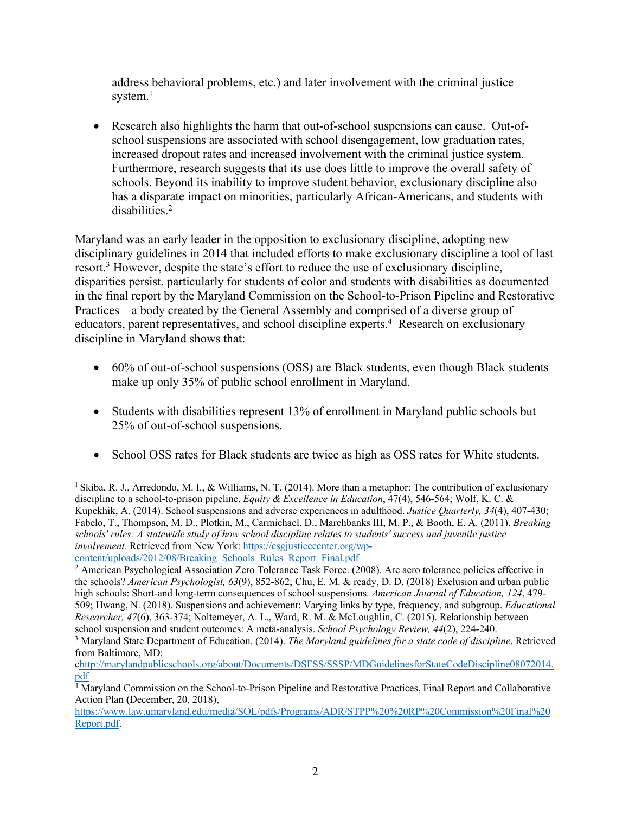address behavioral problems, etc.) and later involvement with the criminal justice system.<sup>1</sup>

• Research also highlights the harm that out-of-school suspensions can cause. Out-ofschool suspensions are associated with school disengagement, low graduation rates, increased dropout rates and increased involvement with the criminal justice system. Furthermore, research suggests that its use does little to improve the overall safety of schools. Beyond its inability to improve student behavior, exclusionary discipline also has a disparate impact on minorities, particularly African-Americans, and students with disabilities. 2

Maryland was an early leader in the opposition to exclusionary discipline, adopting new disciplinary guidelines in 2014 that included efforts to make exclusionary discipline a tool of last resort.<sup>3</sup> However, despite the state's effort to reduce the use of exclusionary discipline, disparities persist, particularly for students of color and students with disabilities as documented in the final report by the Maryland Commission on the School-to-Prison Pipeline and Restorative Practices—a body created by the General Assembly and comprised of a diverse group of educators, parent representatives, and school discipline experts.<sup>4</sup> Research on exclusionary discipline in Maryland shows that:

- 60% of out-of-school suspensions (OSS) are Black students, even though Black students make up only 35% of public school enrollment in Maryland.
- Students with disabilities represent 13% of enrollment in Maryland public schools but 25% of out-of-school suspensions.
- School OSS rates for Black students are twice as high as OSS rates for White students.

<sup>&</sup>lt;sup>1</sup> Skiba, R. J., Arredondo, M. I., & Williams, N. T. (2014). More than a metaphor: The contribution of exclusionary discipline to a school-to-prison pipeline. *Equity & Excellence in Education*, 47(4), 546-564; Wolf, K. C. & Kupckhik, A. (2014). School suspensions and adverse experiences in adulthood. *Justice Quarterly, 34*(4), 407-430; Fabelo, T., Thompson, M. D., Plotkin, M., Carmichael, D., Marchbanks III, M. P., & Booth, E. A. (2011). *Breaking schools' rules: A statewide study of how school discipline relates to students' success and juvenile justice involvement.* Retrieved from New York: https://csgjusticecenter.org/wpcontent/uploads/2012/08/Breaking\_Schools\_Rules\_Report\_Final.pdf

<sup>&</sup>lt;sup>2</sup> American Psychological Association Zero Tolerance Task Force. (2008). Are aero tolerance policies effective in the schools? *American Psychologist, 63*(9), 852-862; Chu, E. M. & ready, D. D. (2018) Exclusion and urban public high schools: Short-and long-term consequences of school suspensions. *American Journal of Education, 124*, 479- 509; Hwang, N. (2018). Suspensions and achievement: Varying links by type, frequency, and subgroup. *Educational Researcher, 47*(6), 363-374; Noltemeyer, A. L., Ward, R. M. & McLoughlin, C. (2015). Relationship between school suspension and student outcomes: A meta-analysis. *School Psychology Review, 44*(2), 224-240.

<sup>3</sup> Maryland State Department of Education. (2014). *The Maryland guidelines for a state code of discipline*. Retrieved from Baltimore, MD:

chttp://marylandpublicschools.org/about/Documents/DSFSS/SSSP/MDGuidelinesforStateCodeDiscipline08072014. pdf

<sup>&</sup>lt;sup>4</sup> Maryland Commission on the School-to-Prison Pipeline and Restorative Practices, Final Report and Collaborative Action Plan **(**December, 20, 2018),

https://www.law.umaryland.edu/media/SOL/pdfs/Programs/ADR/STPP%20%20RP%20Commission%20Final%20 Report.pdf.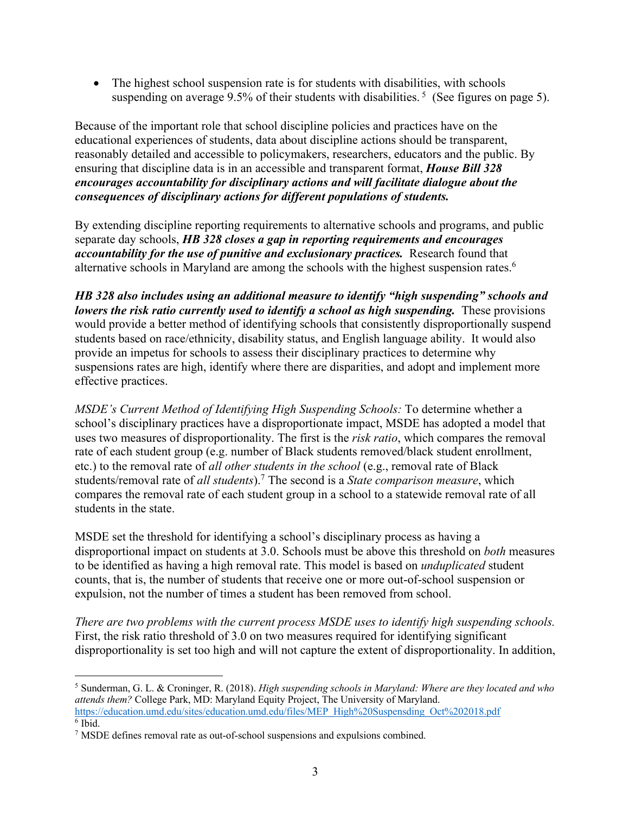• The highest school suspension rate is for students with disabilities, with schools suspending on average 9.5% of their students with disabilities.<sup>5</sup> (See figures on page 5).

Because of the important role that school discipline policies and practices have on the educational experiences of students, data about discipline actions should be transparent, reasonably detailed and accessible to policymakers, researchers, educators and the public. By ensuring that discipline data is in an accessible and transparent format, *House Bill 328 encourages accountability for disciplinary actions and will facilitate dialogue about the consequences of disciplinary actions for different populations of students.* 

By extending discipline reporting requirements to alternative schools and programs, and public separate day schools, *HB 328 closes a gap in reporting requirements and encourages accountability for the use of punitive and exclusionary practices.* Research found that alternative schools in Maryland are among the schools with the highest suspension rates.<sup>6</sup>

*HB 328 also includes using an additional measure to identify "high suspending" schools and lowers the risk ratio currently used to identify a school as high suspending.* These provisions would provide a better method of identifying schools that consistently disproportionally suspend students based on race/ethnicity, disability status, and English language ability. It would also provide an impetus for schools to assess their disciplinary practices to determine why suspensions rates are high, identify where there are disparities, and adopt and implement more effective practices.

*MSDE's Current Method of Identifying High Suspending Schools:* To determine whether a school's disciplinary practices have a disproportionate impact, MSDE has adopted a model that uses two measures of disproportionality. The first is the *risk ratio*, which compares the removal rate of each student group (e.g. number of Black students removed/black student enrollment, etc.) to the removal rate of *all other students in the school* (e.g., removal rate of Black students/removal rate of *all students*).7 The second is a *State comparison measure*, which compares the removal rate of each student group in a school to a statewide removal rate of all students in the state.

MSDE set the threshold for identifying a school's disciplinary process as having a disproportional impact on students at 3.0. Schools must be above this threshold on *both* measures to be identified as having a high removal rate. This model is based on *unduplicated* student counts, that is, the number of students that receive one or more out-of-school suspension or expulsion, not the number of times a student has been removed from school.

*There are two problems with the current process MSDE uses to identify high suspending schools.* First, the risk ratio threshold of 3.0 on two measures required for identifying significant disproportionality is set too high and will not capture the extent of disproportionality. In addition,

<sup>5</sup> Sunderman, G. L. & Croninger, R. (2018). *High suspending schools in Maryland: Where are they located and who attends them?* College Park, MD: Maryland Equity Project, The University of Maryland. https://education.umd.edu/sites/education.umd.edu/files/MEP\_High%20Suspensding\_Oct%202018.pdf <sup>6</sup> Ibid.

 $7$  MSDE defines removal rate as out-of-school suspensions and expulsions combined.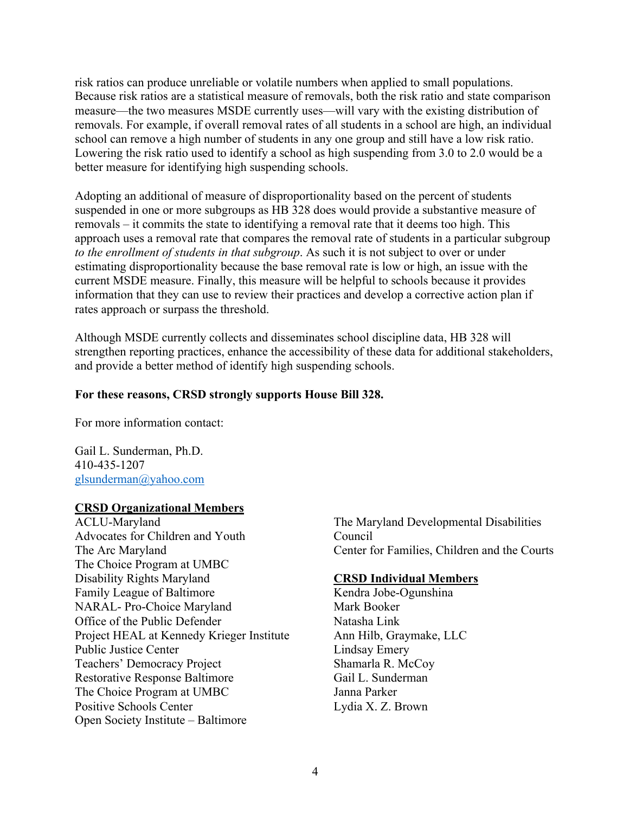risk ratios can produce unreliable or volatile numbers when applied to small populations. Because risk ratios are a statistical measure of removals, both the risk ratio and state comparison measure—the two measures MSDE currently uses—will vary with the existing distribution of removals. For example, if overall removal rates of all students in a school are high, an individual school can remove a high number of students in any one group and still have a low risk ratio. Lowering the risk ratio used to identify a school as high suspending from 3.0 to 2.0 would be a better measure for identifying high suspending schools.

Adopting an additional of measure of disproportionality based on the percent of students suspended in one or more subgroups as HB 328 does would provide a substantive measure of removals – it commits the state to identifying a removal rate that it deems too high. This approach uses a removal rate that compares the removal rate of students in a particular subgroup *to the enrollment of students in that subgroup*. As such it is not subject to over or under estimating disproportionality because the base removal rate is low or high, an issue with the current MSDE measure. Finally, this measure will be helpful to schools because it provides information that they can use to review their practices and develop a corrective action plan if rates approach or surpass the threshold.

Although MSDE currently collects and disseminates school discipline data, HB 328 will strengthen reporting practices, enhance the accessibility of these data for additional stakeholders, and provide a better method of identify high suspending schools.

# **For these reasons, CRSD strongly supports House Bill 328.**

For more information contact:

Gail L. Sunderman, Ph.D. 410-435-1207 glsunderman@yahoo.com

# **CRSD Organizational Members**

ACLU-Maryland Advocates for Children and Youth The Arc Maryland The Choice Program at UMBC Disability Rights Maryland Family League of Baltimore NARAL- Pro-Choice Maryland Office of the Public Defender Project HEAL at Kennedy Krieger Institute Public Justice Center Teachers' Democracy Project Restorative Response Baltimore The Choice Program at UMBC Positive Schools Center Open Society Institute – Baltimore

The Maryland Developmental Disabilities Council Center for Families, Children and the Courts

# **CRSD Individual Members**

Kendra Jobe-Ogunshina Mark Booker Natasha Link Ann Hilb, Graymake, LLC Lindsay Emery Shamarla R. McCoy Gail L. Sunderman Janna Parker Lydia X. Z. Brown